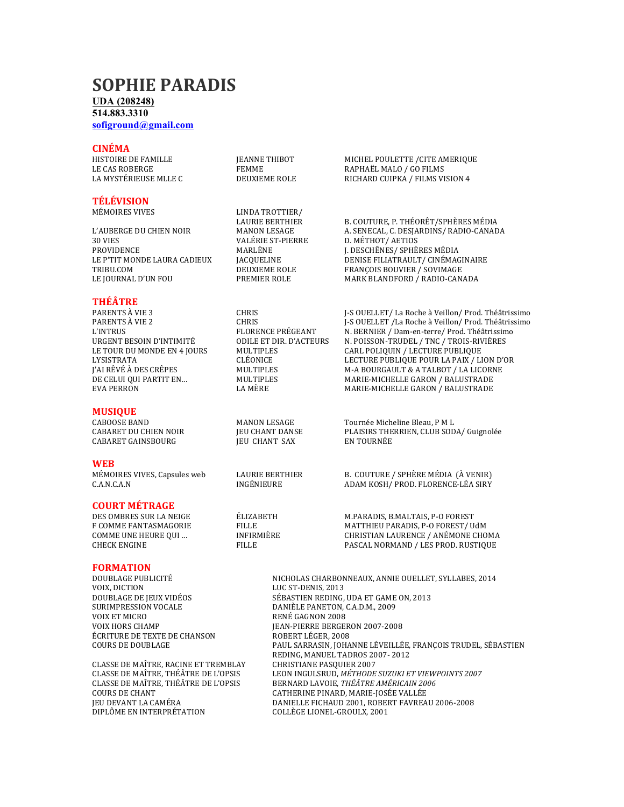## **SOPHIE PARADIS**

## **UDA (208248)**

**514.883.3310**

**sofiground@gmail.com**

**CINÉMA**<br>HISTOIRE DE FAMILLE

# **TÉLÉVISION**

PROVIDENCE MARLÈNE J. DESCHÊNES/ SPHÈRES MÉDIA TRIBU.COM DEUXIEME ROLE FRANÇOIS BOUVIER / SOVIMAGE

### **THÉÂTRE**

### **MUSIQUE**

CABARET GAINSBOURG **THE LIGHANT SAX** EN TOURNÉE

**WEB**<br>MÉMOIRES VIVES, Capsules web

### **COURT MÉTRAGE**

**FORMATION** ÉCRITURE DE TEXTE DE CHANSON

CLASSE DE MAÎTRE, RACINE ET TREMBLAY CHRISTIANE PASQUIER 2007

LINDA TROTTIER/<br>LAURIE BERTHIER

**IEANNE THIBOT MICHEL POULETTE /CITE AMERIQUE** LE CAS ROBERGE FEMME RAPHAËL MALO / GO FILMS DEUXIEME ROLE RICHARD CUIPKA / FILMS VISION 4

B. COUTURE, P. THÉORÊT/SPHÈRES MÉDIA L'AUBERGE DU CHIEN NOIR
MANON LESAGE
MANON LESAGE
MANON LESAGE
MANON LESAGE
MANON LESSENECAL, C. DESJARDINS/ RADIO-CANADA

MANON LES
MANON LES D. MÉTHOT/ AETIOS LE P'TIT MONDE LAURA CADIEUX JACQUELINE DENISE FILIATRAULT/ CINÉMAGINAIRE PREMIER ROLE MARK BLANDFORD / RADIO-CANADA

PARENTS À VIE 3 CHRIS CHRIS GUELLET/ La Roche à Veillon/ Prod. Théâtrissimo PARENTS À VIE 2 CHRIS J-S OUELLET /La Roche à Veillon/ Prod. Théâtrissimo L'INTRUS FLORENCE PRÉGEANT N. BERNIER / Dam-en-terre/ Prod. Théâtrissimo<br>URGENT BESOIN D'INTIMITÉ ODILE ET DIR. D'ACTEURS N. POISSON-TRUDEL / TNC / TROIS-RIVIÈRES URGENT BESOIN D'INTIMITÉ ODILE ET DIR. D'ACTEURS N. POISSON-TRUDEL / TNC / TROIS-RIVIÈRES CARL POLIQUIN / LECTURE PUBLIQUE LYSISTRATA CLÉONICE LECTURE PUBLIQUE POUR LA PAIX / LION D'OR M-A BOURGAULT & A TALBOT / LA LICORNE DE CELUI QUI PARTIT EN… MULTIPLES MARIE-MICHELLE GARON / BALUSTRADE MARIE-MICHELLE GARON / BALUSTRADE

CABOOSE BAND MANON LESAGE Tournée Micheline Bleau, P M L JEU CHANT DANSE PLAISIRS THERRIEN, CLUB SODA/ Guignolée<br>IEU CHANT SAX EN TOURNÉE

LAURIE BERTHIER B. COUTURE / SPHÈRE MÉDIA (À VENIR) C.A.N.C.A.N **INGÉNIEURE** ADAM KOSH/PROD. FLORENCE-LÉA SIRY

DES OMBRES SUR LA NEIGE ÉLIZABETH M.PARADIS, B.MALTAIS, P-O FOREST FILLE **FILLE** MATTHIEU PARADIS, P-O FOREST/ UdM<br>INFIRMIÈRE CHRISTIAN LAURENCE / ANÉMONE CHO COMME UNE HEURE OUI ... INFIRMIÈRE CHRISTIAN LAURENCE / ANÉMONE CHOMA CHECK ENGINE FILLE FILLE PASCAL NORMAND / LES PROD. RUSTIQUE

DOUBLAGE PUBLICITÉ NICHOLAS CHARBONNEAUX, ANNIE OUELLET, SYLLABES, 2014<br>VOIX. DICTION LUC ST-DENIS. 2013 LUC ST-DENIS, 2013 DOUBLAGE DE JEUX VIDÉOS SÉBASTIEN REDING, UDA ET GAME ON, 2013<br>SURIMPRESSION VOCALE DANIÈLE PANETON, C.A.D.M., 2009 SURIMPRESSION VOCALE DANIÈLE PANETON, C.A.D.M., 2009 RENÉ GAGNON 2008 VOIX HORS CHAMP JEAN-PIERRE BERGERON 2007-2008 COURS DE DOUBLAGE **Example 20 FAUL SARRASIN, JOHANNE LÉVEILLÉE, FRANÇOIS TRUDEL, SÉBASTIEN** REDING, MANUEL TADROS 2007-2012 CLASSE DE MAÎTRE, THÉÂTRE DE L'OPSIS LEON INGULSRUD, MÉTHODE SUZUKI ET VIEWPOINTS 2007<br>CLASSE DE MAÎTRE, THÉÂTRE DE L'OPSIS BERNARD LAVOIE, *THÉÂTRE AMÉRICAIN 2006* CLASSE DE MAÎTRE, THÉÂTRE DE L'OPSIS BERNARD LAVOIE, *THÉÂTRE AMÉRICAIN 2006*<br>COURS DE CHANT **DE COURS DE L'OPSIS CATHERINE PINARD, MARIE-**JOSÉE VALLÉE COURS DE CHANT CATHERINE PINARD, MARIE-JOSÉE VALLÉE JEU DEVANT LA CAMÉRA DANIELLE FICHAUD 2001, ROBERT FAVREAU 2006-2008 COLLÈGE LIONEL-GROULX, 2001